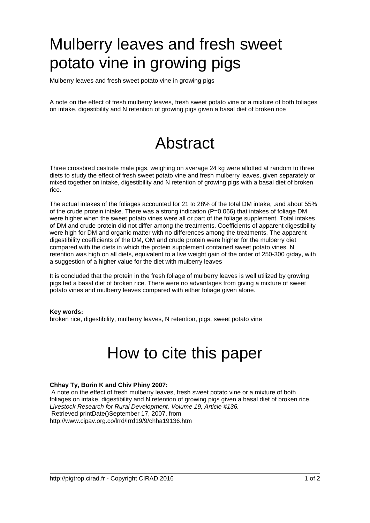# Mulberry leaves and fresh sweet potato vine in growing pigs

Mulberry leaves and fresh sweet potato vine in growing pigs

A note on the effect of fresh mulberry leaves, fresh sweet potato vine or a mixture of both foliages on intake, digestibility and N retention of growing pigs given a basal diet of broken rice

## Abstract

Three crossbred castrate male pigs, weighing on average 24 kg were allotted at random to three diets to study the effect of fresh sweet potato vine and fresh mulberry leaves, given separately or mixed together on intake, digestibility and N retention of growing pigs with a basal diet of broken rice.

The actual intakes of the foliages accounted for 21 to 28% of the total DM intake, .and about 55% of the crude protein intake. There was a strong indication (P=0.066) that intakes of foliage DM were higher when the sweet potato vines were all or part of the foliage supplement. Total intakes of DM and crude protein did not differ among the treatments. Coefficients of apparent digestibility were high for DM and organic matter with no differences among the treatments. The apparent digestibility coefficients of the DM, OM and crude protein were higher for the mulberry diet compared with the diets in which the protein supplement contained sweet potato vines. N retention was high on all diets, equivalent to a live weight gain of the order of 250-300 g/day, with a suggestion of a higher value for the diet with mulberry leaves

It is concluded that the protein in the fresh foliage of mulberry leaves is well utilized by growing pigs fed a basal diet of broken rice. There were no advantages from giving a mixture of sweet potato vines and mulberry leaves compared with either foliage given alone.

#### **Key words:**

broken rice, digestibility, mulberry leaves, N retention, pigs, sweet potato vine

### How to cite this paper

#### **Chhay Ty, Borin K and Chiv Phiny 2007:**

 A note on the effect of fresh mulberry leaves, fresh sweet potato vine or a mixture of both foliages on intake, digestibility and N retention of growing pigs given a basal diet of broken rice. Livestock Research for Rural Development. Volume 19, Article #136. Retrieved printDate()September 17, 2007, from http://www.cipav.org.co/lrrd/lrrd19/9/chha19136.htm